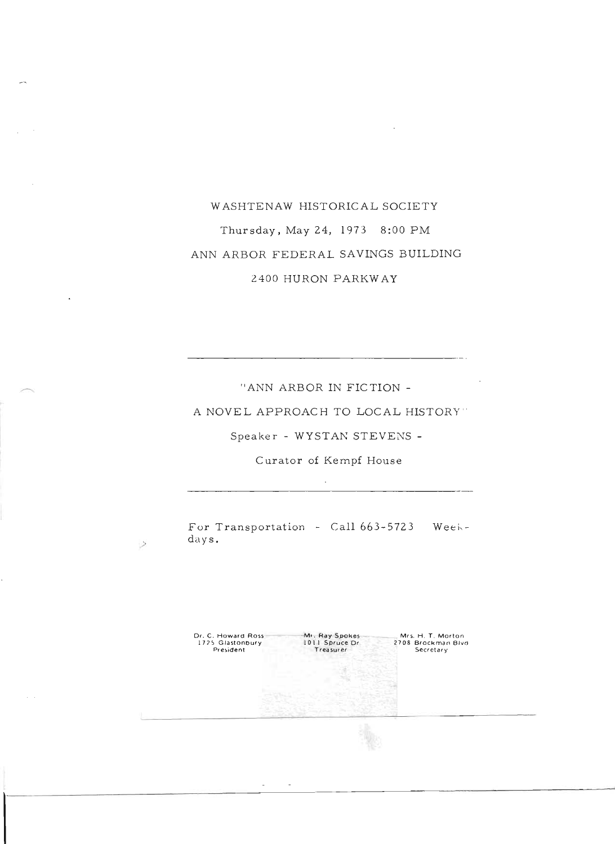## WASHTENAW HISTORICAL SOCIETY Thursday, May 24, 1973 8:00 PM ANN ARBOR FEDERAL SAVINGS BUILDING 2400 HURON PARKWAY

" ANN ARBOR IN FICTION -

A NOVEL APPROACH TO LOCAL HISTORY"

Speaker - WYSTAN STEVENS -

Curator of Kempf House

 $\bar{z}$ 

For Transportation – Call  $663 - 5723$  Weekdays.

| Dr. C. Howard Ross<br>1725 Glastonbury<br>President | -Mr. Ray Spokes<br>1011 Spruce Dr.<br>Treasurer | Mrs. H. T. Morton<br>2708 Brockman Blvd<br>Secretary |  |
|-----------------------------------------------------|-------------------------------------------------|------------------------------------------------------|--|
|                                                     |                                                 |                                                      |  |
|                                                     |                                                 |                                                      |  |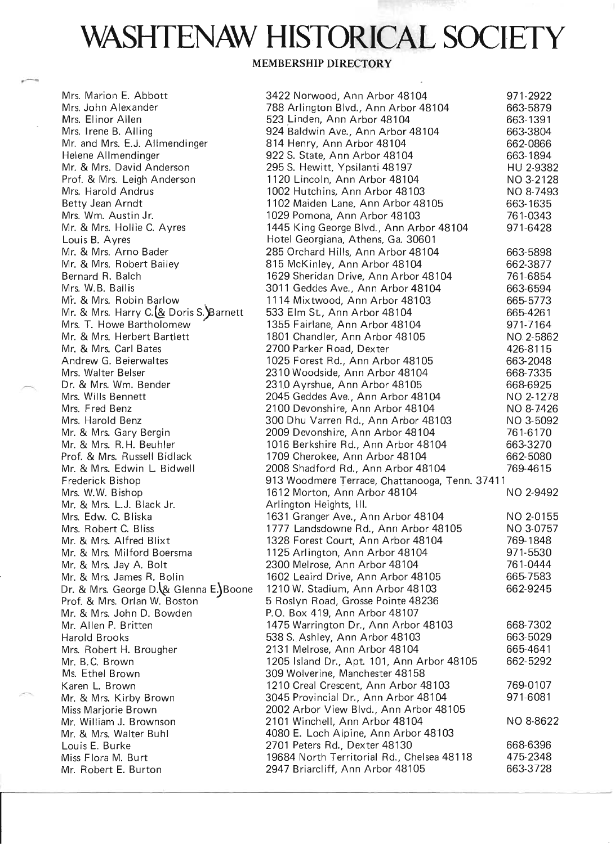## **WASHTENAW HISTORICAL SOCIETY**

## MEMBERSHIP DIRECTORY

| Mrs. Marion E. Abbott                  | 3422 Norwood, Ann Arbor 48104                  | 971-2922  |
|----------------------------------------|------------------------------------------------|-----------|
| Mrs. John Alexander                    | 788 Arlington Blvd., Ann Arbor 48104           | 663-5879  |
| Mrs. Elinor Allen                      | 523 Linden, Ann Arbor 48104                    | 663-1391  |
| Mrs. Irene B. Alling                   | 924 Baldwin Ave., Ann Arbor 48104              | 663-3804  |
| Mr. and Mrs. E.J. Allmendinger         | 814 Henry, Ann Arbor 48104                     | 662-0866  |
| Helene Allmendinger                    | 922 S. State, Ann Arbor 48104                  | 663-1894  |
| Mr. & Mrs. David Anderson              | 295 S. Hewitt, Ypsilanti 48197                 | HU 2-9382 |
| Prof. & Mrs. Leigh Anderson            | 1120 Lincoln, Ann Arbor 48104                  | NO 3-2128 |
| Mrs. Harold Andrus                     | 1002 Hutchins, Ann Arbor 48103                 | NO 8-7493 |
| Betty Jean Arndt                       | 1102 Maiden Lane, Ann Arbor 48105              | 663-1635  |
| Mrs. Wm. Austin Jr.                    | 1029 Pomona, Ann Arbor 48103                   | 761-0343  |
| Mr. & Mrs. Hollie C. Ayres             | 1445 King George Blvd., Ann Arbor 48104        | 971-6428  |
| Louis B. Ayres                         | Hotel Georgiana, Athens, Ga. 30601             |           |
| Mr. & Mrs. Arno Bader                  | 285 Orchard Hills, Ann Arbor 48104             | 663-5898  |
| Mr. & Mrs. Robert Bailey               | 815 McKinley, Ann Arbor 48104                  | 662-3877  |
| Bernard R. Balch                       | 1629 Sheridan Drive, Ann Arbor 48104           | 761-6854  |
| Mrs. W.B. Ballis                       | 3011 Geddes Ave., Ann Arbor 48104              | 663-6594  |
| Mr. & Mrs. Robin Barlow                | 1114 Mixtwood, Ann Arbor 48103                 | 665-5773  |
| Mr. & Mrs. Harry C. & Doris S. Barnett | 533 Elm St., Ann Arbor 48104                   | 665-4261  |
| Mrs. T. Howe Bartholomew               | 1355 Fairlane, Ann Arbor 48104                 | 971-7164  |
| Mr. & Mrs. Herbert Bartlett            | 1801 Chandler, Ann Arbor 48105                 | NO 2-5862 |
| Mr. & Mrs. Carl Bates                  | 2700 Parker Road, Dexter                       | 426-8115  |
| Andrew G. Beierwaltes                  | 1025 Forest Rd., Ann Arbor 48105               | 663-2048  |
| Mrs. Walter Belser                     | 2310 Woodside, Ann Arbor 48104                 | 668-7335  |
| Dr. & Mrs. Wm. Bender                  | 2310 Ayrshue, Ann Arbor 48105                  | 668-6925  |
| Mrs. Wills Bennett                     | 2045 Geddes Ave., Ann Arbor 48104              | NO 2-1278 |
| Mrs. Fred Benz                         | 2100 Devonshire, Ann Arbor 48104               | NO 8-7426 |
| Mrs. Harold Benz                       | 300 Dhu Varren Rd., Ann Arbor 48103            | NO 3-5092 |
| Mr. & Mrs. Gary Bergin                 | 2009 Devonshire, Ann Arbor 48104               | 761-6170  |
| Mr. & Mrs. R.H. Beuhler                | 1016 Berkshire Rd., Ann Arbor 48104            | 663-3270  |
| Prof. & Mrs. Russell Bidlack           | 1709 Cherokee, Ann Arbor 48104                 | 662-5080  |
| Mr. & Mrs. Edwin L Bidwell             | 2008 Shadford Rd., Ann Arbor 48104             | 769-4615  |
| Frederick Bishop                       | 913 Woodmere Terrace, Chattanooga, Tenn. 37411 |           |
| Mrs. W.W. Bishop                       | 1612 Morton, Ann Arbor 48104                   | NO 2-9492 |
| Mr. & Mrs. L.J. Black Jr.              | Arlington Heights, III.                        |           |
| Mrs. Edw. C. Bliska                    | 1631 Granger Ave., Ann Arbor 48104             | NO 2-0155 |
| Mrs. Robert C. Bliss                   | 1777 Landsdowne Rd., Ann Arbor 48105           | NO 3-0757 |
| Mr. & Mrs. Alfred Blixt                | 1328 Forest Court, Ann Arbor 48104             | 769-1848  |
| Mr. & Mrs. Milford Boersma             | 1125 Arlington, Ann Arbor 48104                | 971-5530  |
| Mr. & Mrs. Jay A. Bolt                 | 2300 Melrose, Ann Arbor 48104                  | 761-0444  |
| Mr. & Mrs. James R. Bolin              | 1602 Leaird Drive, Ann Arbor 48105             | 665 7583  |
| Dr. & Mrs. George D. & Glenna E. Boone | 1210 W. Stadium, Ann Arbor 48103               | 662-9245  |
| Prof. & Mrs. Orlan W. Boston           | 5 Roslyn Road, Grosse Pointe 48236             |           |
| Mr. & Mrs. John D. Bowden              | P.O. Box 419, Ann Arbor 48107                  |           |
| Mr. Allen P. Britten                   | 1475 Warrington Dr., Ann Arbor 48103           | 668-7302  |
| Harold Brooks                          | 538 S. Ashley, Ann Arbor 48103                 | 663-5029  |
| Mrs. Robert H. Brougher                | 2131 Melrose, Ann Arbor 48104                  | 665-4641  |
| Mr. B.C. Brown                         | 1205 Island Dr., Apt. 101, Ann Arbor 48105     | 662-5292  |
| Ms. Ethel Brown                        | 309 Wolverine, Manchester 48158                |           |
| Karen L. Brown                         | 1210 Creal Crescent, Ann Arbor 48103           | 769-0107  |
| Mr. & Mrs. Kirby Brown                 | 3045 Provincial Dr., Ann Arbor 48104           | 971-6081  |
| Miss Marjorie Brown                    | 2002 Arbor View Blvd., Ann Arbor 48105         |           |
| Mr. William J. Brownson                | 2101 Winchell, Ann Arbor 48104                 | NO 8-8622 |
| Mr. & Mrs. Walter Buhl                 | 4080 E. Loch Alpine, Ann Arbor 48103           |           |
| Louis E. Burke                         | 2701 Peters Rd., Dexter 48130                  | 668-6396  |
| Miss Flora M. Burt                     | 19684 North Territorial Rd., Chelsea 48118     | 475-2348  |
| Mr. Robert E. Burton                   | 2947 Briarcliff, Ann Arbor 48105               | 663-3728  |
|                                        |                                                |           |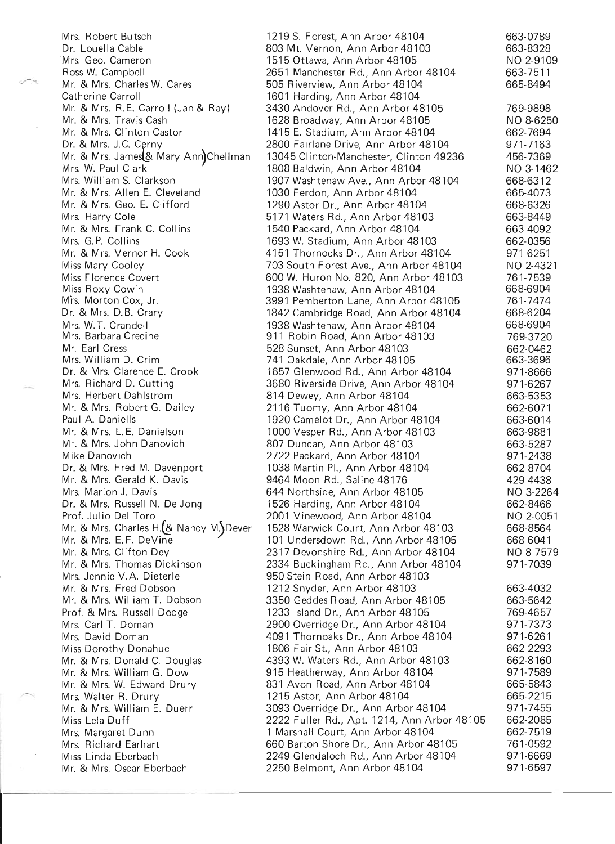Catherine Carroll **Catherine** Carroll **1601 Harding, Ann Arbor 48104** Mrs. Jennie V.A. Dieterle 950 Stein Road, Ann Arbor 48103

Mrs. Robert Butsch 1219 S. Forest, Ann Arbor 48104 663-0789 Dr. Louella Cable **803 Mt. Vernon, Ann Arbor 48103** 663-8328 \Mrs. Geo. Cameron 1515 Ottawa, Ann Arbor 48105 NO 2-9109 Ross W. Campbell 2651 Manchester Rd., Ann Arbor 48104 663-7511<br>Mr. & Mrs. Charles W. Cares 505 Riverview, Ann Arbor 48104 665-8494 Mr. & Mrs. R. E. Carroll (Jan & Ray) 3430 Andover Rd., Ann Arbor 48105 769-9898 Mr. & Mrs. Travis Cash 1628 B roadway, Ann Arbor 48105 NO 8-6250 Mr. & Mrs. Clinton Castor 1415 E. Stadium, Ann Arbor 48104 662-7694 Dr. & Mrs. J.C. Cerny 2800 Fairlane Drive, Ann Arbor 48104 971-7163<br>Mr. & Mrs. James & Mary Ann Chellman 13045 Clinton-Manchester, Clinton 49236 456-7369 13045 Clinton-Manchester, Clinton 49236 456-7369 Mrs. W. Paul Clark **1808 Baldwin, Ann Arbor 48104** NO 3-1462 Mrs. William S. Clarkson 1907 Washtenaw Ave., Ann Arbor 48104 668-6312 Mr. & Mrs. Allen E. Cleveland 1030 Ferdon, Ann Arbor 48104 665-4073 Mr. & Mrs. Geo. E. Clifford 1290 Astor Dr., Ann Arbor 48104 668-6326 Mrs. Harry Cole **663-8449 5171 Waters Rd., Ann Arbor 48103** 663-8449 Mr. & Mrs. Frank C. Collins 1540 Packard, Ann Arbor 48104 663-4092 Mrs. G. P. Collins 1693 W. Stadium, Ann Arbor 48103 662-0356 Mr. & Mrs. Vernor H. Cook 4151 Thornocks Dr., Ann Arbor 48104 971-6251 Miss Mary Cooley 703 South Forest Ave., Ann Arbor 48104 NO 2-4321 Miss Florence Covert 600W. Huron No. 820, Ann Arbor 48103 761-7539 Miss Roxy Cowin 1938 Washtenaw, Ann Arbor 48104 668-6904 Mrs. Morton Cox, Jr. 3991 Pemberton Lane, Ann Arbor 48105 761-7474 Dr. & Mrs. D.B. Crary **1842 Cambridge Road, Ann Arbor 48104** 668-6204 Mrs. W. T. Crandell 1938 Washtenaw, Ann Arbor 48104 668-6904 Mrs. Barbara Crecine 911 Robin Road, Ann Arbor 48103 769-3720 Mr. Earl Cress 528 Sunset, Ann Arbor 48103 662-0462 Mrs. William D. Crim 741 Oakdale, Ann Arbor 48105 663-3696 Dr. & Mrs. Clarence E. Crook 1657 Glenwood Rd., Ann Arbor 48104 971-8666 Mrs. Richard D. Cutting 3680 Riverside Drive, Ann Arbor 48104 971-6267 Mrs. Herbert Dahlstrom 814 Dewey, Ann Arbor 48104 663-5353 Mr. & Mrs. Robert G. Dailey 2116 Tuomy, Ann Arbor 48104 662-6071 Paul A. Daniells 1920 Camelot Dr., Ann Arbor 48104 663-6014 Mr. & Mrs. L. E. Danielson 1000 Vesper Rd., Ann Arbor 48103 663-9881 Mr. & Mrs. John Danovich **807 Duncan, Ann Arbor 48103** 663-5287 Mike Danovich 2722 Packard, Ann Arbor 48104 971-2438 Dr. & Mrs. Fred M. Davenport 1038 Martin Pl., Ann Arbor 48104 662-8704 Mr. & Mrs. Gerald K. Davis 9464 Moon Rd., Saline 48176 429-4438 Mrs. Marion J. Davis 644 Northside, Ann Arbor 48105 NO 3-2264 1526 Harding, Ann Arbor 48104 662-8466 Prof. Julio Del Toro 2001 Vinewood, Ann Arbor 48104 NO 2-0051 Mr. & Mrs. Charles H. (& Nancy M.)Dever 1528 Warwick Court, Ann Arbor 48103 668-8564 Mr. & Mrs. E.F. DeVine **101 Undersdown Rd., Ann Arbor 48105** 668-6041 Mr. & Mrs. Clifton Dey 2317 Devonshire Rd., Ann Arbor 48104 NO 8-7579 Mr. & Mrs. Thomas Dickinson 2334 Buckingham Rd., Ann Arbor 48104 971-7039 Mr. & Mrs. Fred Dobson 1212 Snyder, Ann Arbor 48103 663-4032 Mr. & Mrs. William T. Dobson 3350 Geddes Road, Ann Arbor 48105 663-5642 Prof. & Mrs. Russell Dodge 1233 Island Dr., Ann Arbor 48105 769-4657 Mrs. Carl T. Doman 2900 Overridge Dr., Ann Arbor 48104 971-7373 Mrs. David Doman **1988 4091 Thornoaks Dr., Ann Arboe 48104** 971-6261 Miss Dorothy Donahue 1806 Fair St., Ann Arbor 48103 662-2293 Mr. & Mrs. Donald C. Douglas 4393 W. Waters Rd., Ann Arbor 48103 662-8160 Mr. & Mrs. William G. Dow 915 Heatherway, Ann Arbor 48104 971-7589 Mr. & Mrs. W. Edward Drury 831 Avon Road, Ann Arbor 48104 665-5843 Mrs. Walter R. Drury 1215 Astor, Ann Arbor 48104 665-2215 Mr. & Mrs. William E. Duerr 3093 Overridge Dr., Ann Arbor 48104 971-7455 M.iss Lela Duff 2222 Fuller Rd., Apt. 1214, Ann Arbor 48105 662-2085 Mrs. Margaret Dunn 1 Marshall Court, Ann Arbor 48104 662-7519 Mrs. Richard Earhart 660 Barton Shore Dr., Ann Arbor 48105 761-0592 Miss Linda Eberbach 2249 Glendaloch Rd., Ann Arbor 48104 971-6669 Mr. & Mrs. Oscar Eberbach 2250 Belmont, Ann Arbor 48104 971 -6597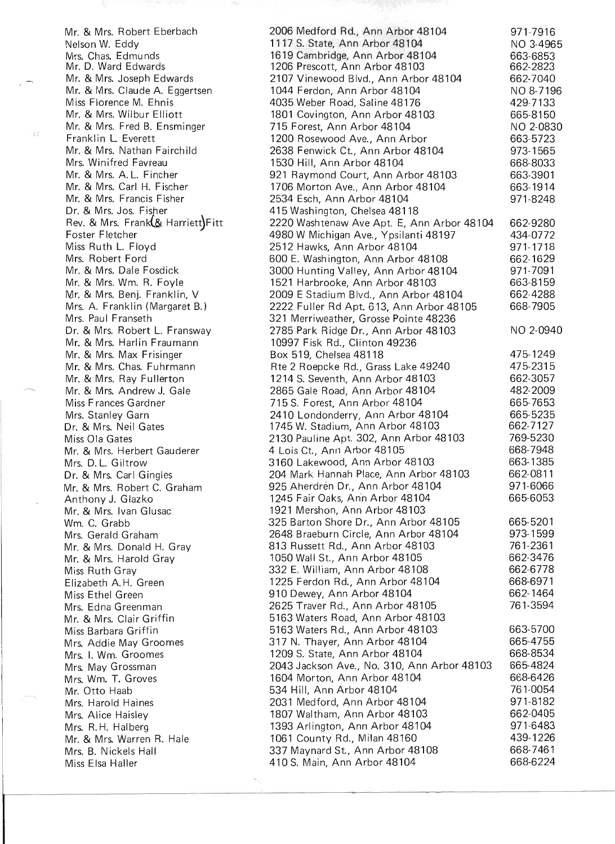Dr. & Mrs. Jos. Fisher 415 Washington, Chelsea 48118 Mr. & Mrs. Harlin Fraumann 10997 Fisk Rd., Clinton 49236 Mr. & Mrs. Ivan Glusac 1921 Mershon, Ann Arbor 48103

32

Mr. & Mrs. Robert Eberbach 2006 Medford Rd., Ann Arbor 48104 971-7916 Nelson W. Eddy **Nelson W. Eddy** 1117 S. State, Ann Arbor 48104 Mrs. Chas. Edmunds 1619 Cambridge, Ann Arbor 48104 663-6853 Mr. D. Ward Edwards 1206 Prescott, Ann Arbor 48103 662-2823 / --... Mr. & Mrs. Joseph Edwards 2107 Vinewood Blvd., Ann Arbor 48104 662-7040 Mr. & Mrs. Claude A. Eggertsen 1044 Ferdon, Ann Arbor 48104 NO 8-7196 Miss Florence M. Ehnis **4035 Weber Road, Saline 48176** 429-7133 Mr. & Mrs. Wilbur Elliott 1801 Covington, Ann Arbor 48103 665-8150 Mr. & Mrs. Fred B. Ensminger The Role of 2003 715 Forest. Ann Arbor 48104 NO 2-0830 Franklin LEverett 1200 Rosewood Ave., Ann Arbor 663-5723 Mr. & Mrs. Nathan Fairchild 2638 Fenwick Ct., Ann Arbor 48104 973-1565 Mrs. Winifred Favreau 1530 Hill, Ann Arbor 48104 668-8033 Mr. & Mrs. A. L. Fincher 1921 Raymond Court, Ann Arbor 48103 663-3901 Mr. & Mrs. Carl H. Fischer 1706 Morton Ave., Ann Arbor 48104 663-1914 Mr. & Mrs. Francis Fisher 2534 Esch, Ann Arbor 48104 971-8248 Rev. & Mrs. Frank & Harriett) Fitt 2220 Washtenaw Ave Apt. E, Ann Arbor 48104 662-9280 Foster Fletcher **1980 W Michigan Ave., Ypsilanti 48197** 434-0772 Miss Ruth L. Floyd 2512 Hawks, Ann Arbor 48104 971-1718 Mrs. Robert Ford 600 E. Washington, Ann Arbor 48108 662-1629 Mr. & Mrs. Dale Fosdick 3000 Hunting Valley, Ann Arbor 48104 971-7091 Mr. & Mrs. Wm. R. Foyle 1521 Harbrooke, Ann Arbor 48103 663-8159 Mr. & Mrs. Benj. Franklin, V 2009 E Stadium Blvd., Ann Arbor 48104 662-4288 Mrs. A. Franklin (Margaret B.) 2222 Fuller Rd Apt. 613, Ann Arbor 48105 668-7905 Mrs. Paul Franseth 321 Merriweather, Grosse Pointe 48236 Dr. & Mrs. Robert L. Fransway 2785 Park Ridge Dr., Ann Arbor 48103 NO 2-0940 Mr. & Mrs. Max Frisinger Box 519, Chelsea 48118 475-1249 Mr. & Mrs. Chas. Fuhrmann Rte 2 Roepcke Rd., Grass Lake 49240 475-2315 Mr. & Mrs. Ray Fullerton 1214 S. Seventh, Ann Arbor 48103 662-3057 Mr. & Mrs. Andrew J. Gale 2865 Gale Road, Ann Arbor 48104 482-2009 Miss Frances Gardner 715S. Forest, Ann Arbor 48104 665-7653 Mrs. Stanley Garn 2410 Londonderry, Ann Arbor 48104 665-5235 Dr. & Mrs. Neil Gates 1745 W. Stadium, Ann Arbor 48103 662-7127 Miss Ola Gates 2130 Pauline Apt. 302, Ann Arbor 48103 769-5230 Mr. & Mrs. Herbert Gauderer 4 Lois Ct., Ann Arbor 48105 668-7948 Mrs. D. L. G iltrow 3160 Lakewood, Ann Arbor 48103 663-1385 Dr. & Mrs. Carl Gingles 204 Mark Hannah Place, Ann Arbor 48103 662-0811 Mr. & Mrs. Robert C. Graham 925 Aherdren Dr., Ann Arbor 48104 971-6066 Anthony J. Glazko 1245 Fair Oaks, Ann Arbor 48104 665-6053 Wm. C. Grabb 325 Barton Shore Dr., Ann Arbor 48105 665-5201 Mrs. Gerald Graham 2648 Braeburn Circle, Ann Arbor 48104 973-1599 Mr. & Mrs. Donald H. Gray 813 Russett Rd., Ann Arbor 48103 761-2361 Mr. & Mrs. Harold Gray 1050 Wall St., Ann Arbor 48105 662-3476 Miss Ruth Gray 332 E. William, Ann Arbor 48108 662-6778 Elizabeth A. H. Green 1225 Ferdon Rd., Ann Arbor 48104 668-6971 Miss Ethel Green 910 Dewey, Ann Arbor 48104 662-1464 Mrs. Edna Greenman 2625 Traver Rd., Ann Arbor 48105 761-3594 Mr. & Mrs. Clair Griffin 5163 Waters Road, Ann Arbor 48103 Miss Barbara Griffin 5163 Waters Rd., Ann Arbor 48103 663-5700 Mrs. Addie May Groomes 317 N. Thayer, Ann Arbor 48104 665-4755 Mrs. I. Wm. Groomes 1209 S. State, Ann Arbor 48104 668-8534 Mrs. May Grossman 2043 Jackson Ave., No. 310, Ann Arbor 48103 665-4824 Mrs. Wm. T. Groves 1604 Morton, Ann Arbor 48104 668-6426 Mr. Otto Haab 534 Hill, Ann Arbor 48104 761-0054 Mrs. Harold Haines 2031 Medford, Ann Arbor 48104 971-8182 Mrs. Alice Haisley 1807 Waltham, Ann Arbor 48103 662-0405 Mrs. R.H. Halberg **1393 Arlington, Ann Arbor 48104** 971-6483 Mr. & Mrs. Warren R. Hale 1061 County Rd., Milan 48160 439-1226 Mrs. B. Nickels Hall 337 Maynard St., Ann Arbor 48108 668-7461 Miss Elsa Haller **410 S. Main, Ann Arbor 48104** 668-6224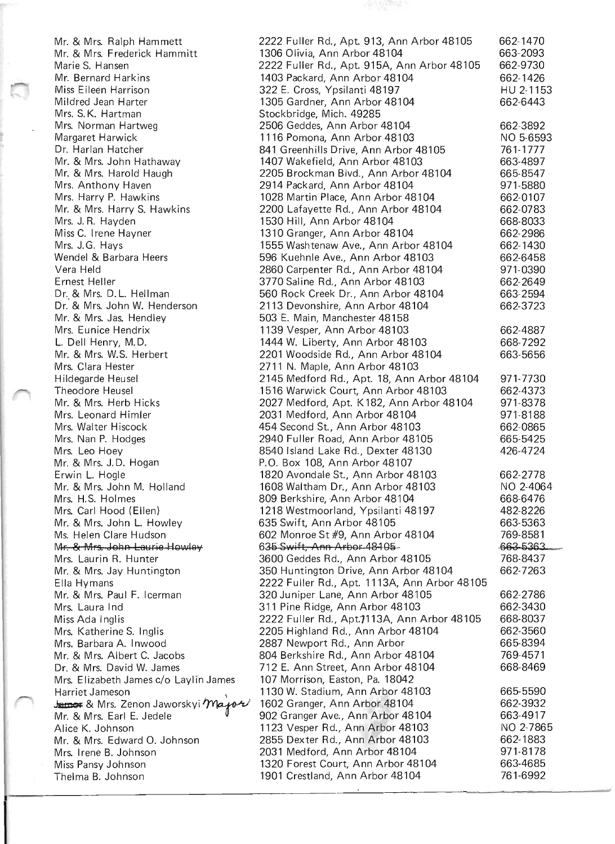Mr. & Mrs. Ralph Hammett Mr. & Mrs. Frederick Hammitt Marie S. Hansen Mr. Bernard Harkins Miss Eileen Harrison Mildred Jean Harter Mrs. S. K. Hartman Mrs. Norman Hartweg Margaret Harwick Dr. Harlan Hatcher Mr. & Mrs. John Hathaway Mr. & Mrs. Harold Haugh Mrs. Anthony Haven Mrs. Harry P. Hawkins Mr. & Mrs. Harry S. Hawkins Mrs. J. R. Hayden Miss C. Irene Hayner Mrs. J. G. Hays Wendel & Barbara Heers Vera Held Ernest Heller Dr. & Mrs. D.L. Hellman Dr. & Mrs. John W. Henderson Mr. & Mrs. Jas. Hendley Mrs. Eunice Hendrix L. Dell Henry, M. D. Mr. & Mrs. W.S. Herbert Mrs. Clara Hester Hildegarde Heusel Theodore Heusel Mr. & Mrs. Herb Hicks Mrs. Leonard Himler Mrs. Walter Hiscock Mrs. Nan P. Hodges Mrs. Leo Hoey Mr. & Mrs. J.D. Hogan Erwin L. Hogle Mr. & Mrs. John M. Holland Mrs. H.S. Holmes . Mrs. Carl Hood (Ellen) Mr. & Mrs. John L. Howley Ms. Helen Clare Hudson Mr. & Mrs. John Laurie Howley Mrs. Laurin R. Hunter Mr. & Mrs. Jay Huntington Ella Hymans Mr. & Mrs. Paul F. Icerman Mrs. Laura Ind Miss Ada Inglis Mrs. Katherine S. Inglis Mrs. Barbara A. Inwood Mr. & Mrs. Albert C. Jacobs Dr. & Mrs. David W. James Mrs. Elizabeth James c/o Laylin James Harriet Jameson , r. & Mrs. David W. James<br>Ars. Elizabeth James c/o Laylin James 107 Morr<br>Harriet Jameson 1130 W.<br>Samer & Mrs. Zenon Jaworskyi *Majow* 1602 Gran<br>Ar & Mrs. Farl F. Jedele 1902 Gran Le R. Mrs. Earl E. Jodalo Alice K. Johnson Mr. & Mrs. Edward O. Johnson Mrs. Irene B. Johnson Miss Pansy Johnson Thelma B. Johnson

2222 Fuller Rd., Apt. 913, Ann Arbor 48105 1306 Olivia, Ann Arbor 48104 2222 Fuller Rd., Apt. 915A, Ann Arbor 48105 1403 Packard, Ann Arbor 48104 322 E. Cross, Ypsilanti 48197 1305 Gardner, Ann Arbor 48104 Stockbridge, Mich. 49285 2506 Geddes, Ann Arbor 48104 1116 Pomona, Ann Arbor 48103 841 Greenhills Drive, Ann Arbor 48105 1407 Wakefield, Ann Arbor 48103 2205 Brockman Blvd., Ann Arbor 48104 2914 Packard, Ann Arbor 48104 1028 Martin Place, Ann Arbor 48104 2200 Lafayette Rd., Ann Arbor 48104 1530 Hill, Ann Arbor 48104 1310 Granger, Ann Arbor 48104 1555 Washtenaw Ave., Ann Arbor 48104 596 Kuehnle Ave., Ann Arbor 48103 2860 Carpenter Rd., Ann Arbor 48104 3770 Saline Rd., Ann Arbor 48103 560 Rock Creek Dr., Ann Arbor 48104 2113 Devonshire, Ann Arbor 48104 503 E. Main, Manchester 48158 1139 Vesper, Ann Arbor 48103 1444 W. Liberty, Ann Arbor 48103 2201 Woodside Rd., Ann Arbor 48104 2711 N. Maple, Ann Arbor 48103 2145 Medford Rd., Apt. 18, Ann Arbor 48104 1516 Warwick Court, Ann Arbor 48103 2027 Medford, Apt. K182, Ann Arbor 48104 2031 Medford, Ann Arbor 48104 454 Second St., Ann Arbor 48103 2940 Fuller Road, Ann Arbor 48105 8540 Island Lake Rd., Dexter 48130 P.O. Box 108, Ann Arbor 48107 1820 Avondale St., Ann Arbor 48103 1608 Waltham Dr., Ann Arbor 48103 809 Berkshire, Ann Arbor 48104 1218 Westmoorland, Ypsilanti 48197 635 Swift, Ann Arbor 48105 602 Monroe St #9, Ann Arbor 48104 635 Swift, Ann Arbor 48405. 3600 Geddes Rd., Ann Arbor 48105 350 Huntington Drive, Ann Arbor 48104 2222 Fuller Rd., Apt. 1113A, Ann Arbor 48105 320 Juniper Lane, Ann Arbor 48105 311 Pine Ridge, Ann Arbor 48103 2222 Fuller Rd., Apt:1113A, Ann Arbor 48105 2205 Highland Rd., Ann Arbor 48104 2887 Newport Rd., Ann Arbor 804 Berkshire Rd., Ann Arbor 48104 712 E. Ann Street, Ann Arbor 48104 107 Morrison, Easton, Pa. 18042 1130 W. Stadium, Ann Arbor 48103 1602 Granger, Ann Arbor 48104 902 Granger Ave., Ann Arbor 48104 1123 Vesper Rd., Ann Arbor 48103 2855 Dexter Rd., Ann Arbor 48103 2031 Medford, Ann Arbor 48104 1320 Forest Court, Ann Arbor 48104 1901 Crestland, Ann Arbor 48104 662-1470 663-2093 662-9730 662-1426 HU 2-1 153 662-6443 662-3892 NO 5-6593 761-1777 663-4897 665-8547 971-5880 662-0107 662-0783 668-8033 662-2986 662-1430 662-6458 971-0390 662-2649 663-2594 662-3723 662-4887 668-7292 663-5656 971-7730 662-4373 971-8378 971-8188 662-0865 . 665-5425 426-4724 662-2778 NO 2-4064 668-6476 482-8226 663-5363 769-8581 663-5363 768-8437 662-7263 662-2786 662-3430 668-8037 662-3560 665-8394 769-4571 668-8469 665-5590 662-3932 663-4917 NO 2-7865 662-1883 971-8178 663-4685 761-6992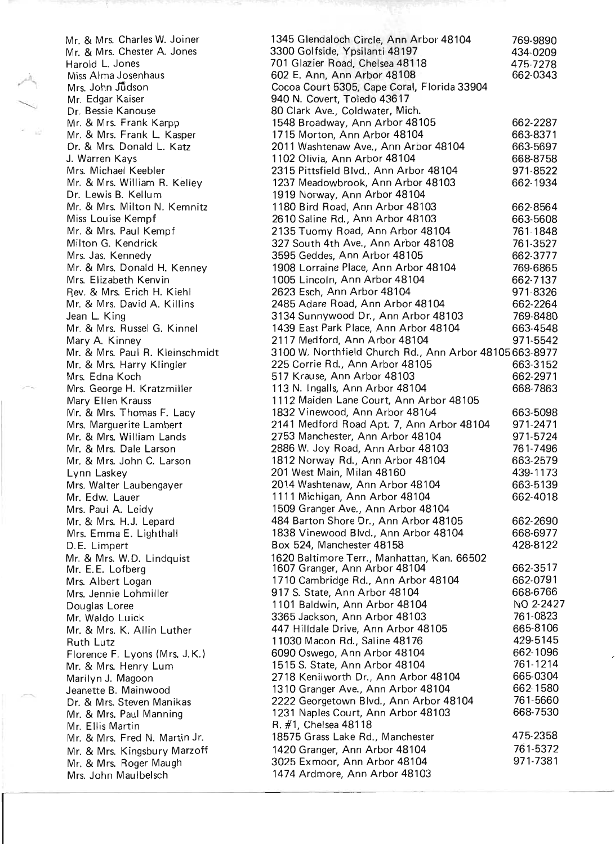~ Mr. Edgar Kaiser 940 N. Covert, Toledo 43617 Dr. Lewis B. Kellum 1919 Norway, Ann Arbor 48104 Mr. Ellis Martin  $R. \#1$ , Chelsea 48118

Mr. & Mrs. Charles W. Joiner 1345 Glendaloch Circle, Ann Arbor 48104 769-9890 Mr. & Mrs. Chester A. Jones 3300 Golfside, Ypsilanti 48197 434-0209 Harold L. Jones 2701 Glazier Road, Chelsea 48118 475-7278 Miss Alma Josenhaus 602 E. Ann, Ann Arbor 48108 662-0343 Mrs. John JUdson Cocoa Court 5305, Cape Coral, Florida 33904 80 Clark Ave., Coldwater, Mich. Mr. & Mrs. Frank Karpp 1548 Broadway, Ann Arbor 48105 662-2287 *t* Mr. & Mrs. Frank L. Kasper 1715 Morton, Ann Arbor 48104 663-8371 Dr. & Mrs. Donald L. Katz 2011 Washtenaw Ave., Ann Arbor 48104 663-5697 J. Warren Kays 1102 Olivia, Ann Arbor 48104 668-8758 Mrs. Michael Keebler 2315 Pittsfield Blvd., Ann Arbor 48104 971-8522 Mr. & Mrs. William R. Kelley 1237 Meadowbrook, Ann Arbor 48103 662-1934 Mr. & Mrs. Milton N. Kemnitz 1180 Bird Road, Ann Arbor 48103 662-8564 Miss Louise Kempf 2610 Saline Rd., Ann Arbor 48103 663-5608 Mr. & Mrs. Paul Kempf 2135 Tuomy Road, Ann Arbor 48104 761-1848 Milton G. Kendrick 327 South 4th Ave., Ann Arbor 48108 761-3527 Mrs. Jas. Kennedy 3595 Geddes, Ann Arbor 48105 662-3777 Mr. & Mrs. Donald H. Kenney 1908 Lorraine Place, Ann Arbor 48104 769-6865 Mrs. Elizabeth Kenvin 1005 Lincoln, Ann Arbor 48104 662-7137 Rev. & Mrs. Erich H. Kiehl 2623 Esch, Ann Arbor 48104 971-8326 Mr. & Mrs. David A. Killins 2485 Adare Road, Ann Arbor 48104 662-2264 Jean L. King . 3134 Sunnywood Dr., Ann Arbor 48103 769-8480 Mr. & Mrs. Russel G. Kinnel 1439 East Park Place, Ann Arbor 48104 663-4548 Mary A. Kinney 2117 Medford, Ann Arbor 48104 971-5542 Mr. & Mrs. Paul R. Kleinschmidt 3100 W. Northfield Church Rd., Ann Arbor 48105663-8977 Mr. & Mrs. Harry Klingler 225 Corrie Rd., Ann Arbor 48105 663-3152 Mrs. Edna Koch 517 Krause, Ann Arbor 48103 662-2971 Mrs. George H. Kratzmiller 113 N. Ingalls, Ann Arbor 48104 668-7863 Mary Ellen Krauss 1112 Maiden Lane Court, Ann Arbor 48105 Mr, & Mrs. Thomas F. Lacy 1832 Vinewood, Ann Arbor 481U4 663-5098 Mrs. Marguerite Lambert 2141 Medford Road Apt. 7, Ann Arbor 48104 971-2471 Mr. & Mrs. William Lands 2753 Manchester, Ann Arbor 48104 971-5724 Mr. & Mrs. Dale Larson 2886 W. Joy Road, Ann Arbor 48103 761-7496 Mr. & Mrs. John C. Larson 1812 Norway Rd., Ann Arbor 48104 663-2579 Lynn Laskey 201 West Main, Milan 48160 439-1173 Mrs. Walter Laubengayer 2014 Washtenaw, Ann Arbor 48104 663-5139 Mr. Edw. Lauer 1111 Michigan, Ann Arbor 48104 662-4018 Mrs. Paul A. Leidy 1509 Granger Ave., Ann Arbor 48104 Mr. & Mrs. H.J. Lepard 484 Barton Shore Dr., Ann Arbor 48105 662-2690 Mrs. Emma E. Lighthal! 1838 Vinewood Blvd., Ann Arbor 48104 668-6977 D. E. Limpert Box 524, Manchester 48158 428-8122 Mr. & Mrs. W.O. Lindquist 1620 Baltimore Terr., Manhattan, Kan. 66502 Mr. E.E. Lofberg 1607 Granger, Ann Arbor 48104 662-3517 Mrs. Albert Logan 1710 Cambridge Rd., Ann Arbor 48104 662-0791 Mrs. Jennie Lohmiller 917 S. State, Ann Arbor 48104 668-6766 Douglas Loree 1101 Baldwin, Ann Arbor 48104 NO 2-2427 Mr. Waldo Luick 3365 Jackson, Ann Arbor 48103 761-0823 Mr. & Mrs. K. Allin Luther 447 Hilldale Drive, Ann Arbor 48105 665-8106 Ruth Lutz 11030 Macon Rd., Saline 48176 429-5145 Florence F. Lyons (Mrs. J.K.) 6090 Oswego, Ann Arbor 48104 662-1096 Mr. & Mrs. Henry Lum 1515 S. State, Ann Arbor 48104 761 -1214 Marilyn J. Magoon 2718 Kenilworth Dr., Ann Arbor 48104 665-0304 Jeanette B. Mainwood 1310 Granger Ave., Ann Arbor 48104 662-1580 Dr. & Mrs. Steven Manikas 2222 Georgetown Blvd., Ann Arbor 48104 761 -5660 Mr. & Mrs. Paul Manning 1231 Naples Court, Ann Arbor 48103 668-7530 Mr. & Mrs. Fred N. Martin Jr. 18575 Grass Lake Rd., Manchester 475-2358 Mr. & Mrs. Kingsbury Marzaff 1420 Granger, Ann Arbor 48104 761-5372 Mr. & Mrs. Roger Maugh 3025 Exmoor, Ann Arbor 48104 971-7381 Mrs. John Maulbelsch 1474 Ardmore, Ann Arbor 48103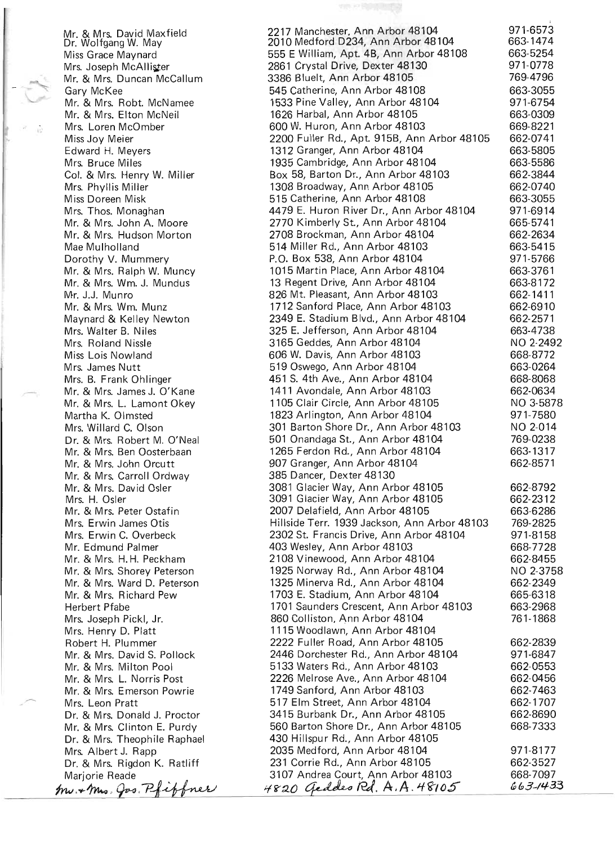Mr. & Mrs. David Maxfield Dr. Wolfgang W. May Miss Grace Maynard Mrs. Joseph McAllister Mr. & Mrs. Duncan McCallum Gary McKee<br>Mr. & Mrs. Robt. McNamee Mr. & Mrs. Elton McNeil Mrs. Loren McOmber Miss Joy Meier Edward H. Meyers Mrs. Bruce Miles Col. & Mrs. Henry W. Miller Mrs. Phyllis Miller Miss Doreen Misk Mrs. Thos. Monaghan Mr. & Mrs. John A. Moore Mr. & Mrs. Hudson Morton Mae Mulholland Dorothy V. Mummery Mr. & Mrs. Ralph W. Muncy Mr. & Mrs. Wm. J. Mundus Mr. J.J. Munro<br>Mr. & Mrs. Wm. Munz Maynard & Kelley Newton Mrs. Walter B. Niles Mrs. Roland Nissle Miss Lois Nowland Mrs. James Nutt Mrs. B. Frank Ohlinger Mr. & Mrs. James J. O'Kane Mr. & Mrs. L. Lamont Okey Martha K. Olmsted Mrs. Willard C. Olson Dr. & Mrs. Robert M. O'Neal Mr. & Mrs. Ben Oosterbaan Mr. & Mrs. John Orcutt Mr. & Mrs. Carroll Ordway Mr. & Mrs. David Osler Mrs. H. Osler<br>Mr. & Mrs. Peter Ostafin Mrs. Erwin James Otis. Mrs. Erwin C. Overbeck Mr. Edmund Palmer Mr. & Mrs. H.H. Peckham Mr. & Mrs. Shorey Peterson Mr. & Mrs. Ward D. Peterson Mr. & Mrs. Richard Pew Herbert Pfabe<br>Mrs. Joseph Pickl, Jr. Mrs. Henry D. Platt Robert H. Plummer Mr. & Mrs. David S. Pollock Mr. & Mrs. Milton Pool Mr. & Mrs. L. Norris Post Mr. & Mrs. Emerson Powrie<br>Mrs. Leon Pratt Dr. & Mrs. Donald J. Proctor Mr. & Mrs. Clinton E. Purdy Dr. & Mrs. Theophile Raphael Mrs. Albert J. Rapp Dr. & Mrs. Rigdon K. Ratliff Marjorie Reade<br>*Inu + nus, Gos Pfiffrer* 

| Ar. & Mrs. David Maxfield                  | 2217 Manchester, Ann Arbor 48104                                       | 971-6573             |
|--------------------------------------------|------------------------------------------------------------------------|----------------------|
| )r. Wolfgang W. May                        | 2010 Medford D234, Ann Arbor 48104                                     | 663-1474             |
| <i>A</i> iss Grace Maynard                 | 555 E William, Apt. 4B, Ann Arbor 48108                                | 663-5254             |
| ⁄lrs. Joseph McAllister                    | 2861 Crystal Drive, Dexter 48130                                       | 971-0778             |
| ۸r. & Mrs. Duncan McCallum                 | 3386 Bluelt, Ann Arbor 48105                                           | 769-4796             |
| Gary McKee                                 | 545 Catherine, Ann Arbor 48108                                         | 663-3055             |
| Vir. & Mrs. Robt. McNamee                  | 1533 Pine Valley, Ann Arbor 48104                                      | 971-6754             |
| Vir. & Mrs. Elton McNeil                   | 1626 Harbal, Ann Arbor 48105                                           | 663-0309             |
| Vlrs. Loren McOmber                        | 600 W. Huron, Ann Arbor 48103                                          | 669-8221             |
| Miss Joy Meier                             | 2200 Fuller Rd., Apt. 915B, Ann Arbor 48105                            | 662-0741             |
| Edward H. Meyers                           | 1312 Granger, Ann Arbor 48104                                          | 663-5805             |
| Mrs. Bruce Miles                           | 1935 Cambridge, Ann Arbor 48104                                        | 663-5586             |
| Col. & Mrs. Henry W. Miller                | Box 58, Barton Dr., Ann Arbor 48103                                    | 662-3844             |
| Mrs. Phyllis Miller                        | 1308 Broadway, Ann Arbor 48105                                         | 662-0740             |
| Miss Doreen Misk                           | 515 Catherine, Ann Arbor 48108                                         | 663-3055             |
| Mrs. Thos. Monaghan                        | 4479 E. Huron River Dr., Ann Arbor 48104                               | 971-6914             |
| Vlr. & Mrs. John A. Moore                  | 2770 Kimberly St., Ann Arbor 48104                                     | 665-5741             |
| Mr. & Mrs. Hudson Morton<br>Mae Mulholland | 2708 Brockman, Ann Arbor 48104                                         | 662-2634             |
| Dorothy V. Mummery                         | 514 Miller Rd., Ann Arbor 48103                                        | 663-5415             |
| Mr. & Mrs. Ralph W. Muncy                  | P.O. Box 538, Ann Arbor 48104                                          | 971-5766             |
| Mr. & Mrs. Wm. J. Mundus                   | 1015 Martin Place, Ann Arbor 48104<br>13 Regent Drive, Ann Arbor 48104 | 663-3761<br>663-8172 |
| √r. J.J. Munro                             | 826 Mt. Pleasant, Ann Arbor 48103                                      | 662-1411             |
| Vir. & Mrs. Wm. Munz                       | 1712 Sanford Place, Ann Arbor 48103                                    | 662-6910             |
| Maynard & Kelley Newton                    | 2349 E. Stadium Blvd., Ann Arbor 48104                                 | 662-2571             |
| Mrs. Walter B. Niles                       | 325 E. Jefferson, Ann Arbor 48104                                      | 663-4738             |
| Mrs. Roland Nissle                         | 3165 Geddes, Ann Arbor 48104                                           | NO 2-2492            |
| Miss Lois Nowland                          | 606 W. Davis, Ann Arbor 48103                                          | 668-8772             |
| ∕Irs. James Nutt                           | 519 Oswego, Ann Arbor 48104                                            | 663-0264             |
| Mrs. B. Frank Ohlinger                     | 451 S. 4th Ave., Ann Arbor 48104                                       | 668-8068             |
| Иr. & Mrs. James J. O'Kane                 | 1411 Avondale, Ann Arbor 48103                                         | 662-0634             |
| ۸r. & Mrs. L. Lamont Okey                  | 1105 Clair Circle, Ann Arbor 48105                                     | NO 3-5878            |
| Martha K. Olmsted                          | 1823 Arlington, Ann Arbor 48104                                        | 971-7580             |
| Mrs. Willard C. Olson                      | 301 Barton Shore Dr., Ann Arbor 48103                                  | NO 2-014             |
| Dr. & Mrs. Robert M. O'Neal                | 501 Onandaga St., Ann Arbor 48104                                      | 769-0238             |
| Vir. & Mrs. Ben Oosterbaan                 | 1265 Ferdon Rd., Ann Arbor 48104                                       | 663-1317             |
| Vlr. & Mrs. John Orcutt                    | 907 Granger, Ann Arbor 48104                                           | 662-8571             |
| Mr. & Mrs. Carroll Ordway                  | 385 Dancer, Dexter 48130                                               |                      |
| Mr. & Mrs. David Osler                     | 3081 Glacier Way, Ann Arbor 48105                                      | 662-8792             |
| Virs. H. Osler                             | 3091 Glacier Way, Ann Arbor 48105                                      | 662-2312             |
| Mr. & Mrs. Peter Ostafin                   | 2007 Delafield, Ann Arbor 48105                                        | 663-6286             |
| Mrs. Erwin James Otis                      | Hillside Terr. 1939 Jackson, Ann Arbor 48103                           | 769-2825             |
| Mrs. Erwin C. Overbeck                     | 2302 St. Francis Drive, Ann Arbor 48104                                | 971-8158             |
| Mr. Edmund Palmer                          | 403 Wesley, Ann Arbor 48103                                            | 668-7728             |
| √1r. & Mrs. H.H. Peckham                   | 2108 Vinewood, Ann Arbor 48104                                         | 662-8455             |
| Mr. & Mrs. Shorey Peterson                 | 1925 Norway Rd., Ann Arbor 48104                                       | NO 2-3758            |
| Mr. & Mrs. Ward D. Peterson                | 1325 Minerva Rd., Ann Arbor 48104                                      | 662-2349             |
| Mr. & Mrs. Richard Pew                     | 1703 E. Stadium, Ann Arbor 48104                                       | 665-6318             |
| Herbert Pfabe                              | 1701 Saunders Crescent, Ann Arbor 48103                                | 663-2968             |
| Mrs. Joseph Pickl, Jr.                     | 860 Colliston, Ann Arbor 48104                                         | 761-1868             |
| Mrs. Henry D. Platt                        | 1115 Woodlawn, Ann Arbor 48104                                         |                      |
| Robert H. Plummer                          | 2222 Fuller Road, Ann Arbor 48105                                      | 662-2839             |
| Mr. & Mrs. David S. Pollock                | 2446 Dorchester Rd., Ann Arbor 48104                                   | 971-6847             |
| Vir. & Mrs. Milton Pool                    | 5133 Waters Rd., Ann Arbor 48103                                       | 662-0553             |
| Vlr. & Mrs. L. Norris Post                 | 2226 Melrose Ave., Ann Arbor 48104                                     | 662-0456             |
| Mr. & Mrs. Emerson Powrie                  | 1749 Sanford, Ann Arbor 48103                                          | 662-7463             |
| Mrs. Leon Pratt                            | 517 Elm Street, Ann Arbor 48104                                        | 662-1707             |
| Dr. & Mrs. Donald J. Proctor               | 3415 Burbank Dr., Ann Arbor 48105                                      | 662-8690             |
| ۸r. & Mrs. Clinton E. Purdy                | 560 Barton Shore Dr., Ann Arbor 48105                                  | 668-7333             |
| Dr. & Mrs. Theophile Raphael               | 430 Hillspur Rd., Ann Arbor 48105                                      |                      |
| Mrs. Albert J. Rapp                        | 2035 Medford, Ann Arbor 48104                                          | 971-8177             |
| Dr. & Mrs. Rigdon K. Ratliff               | 231 Corrie Rd., Ann Arbor 48105                                        | 662-3527             |
| Marjorie Reade                             | 3107 Andrea Court, Ann Arbor 48103                                     | 668-7097             |
| 4 mis Oas Pfibhner                         | $4820$ Geddes Rd. A.A. 48105                                           | $663 - 1433$         |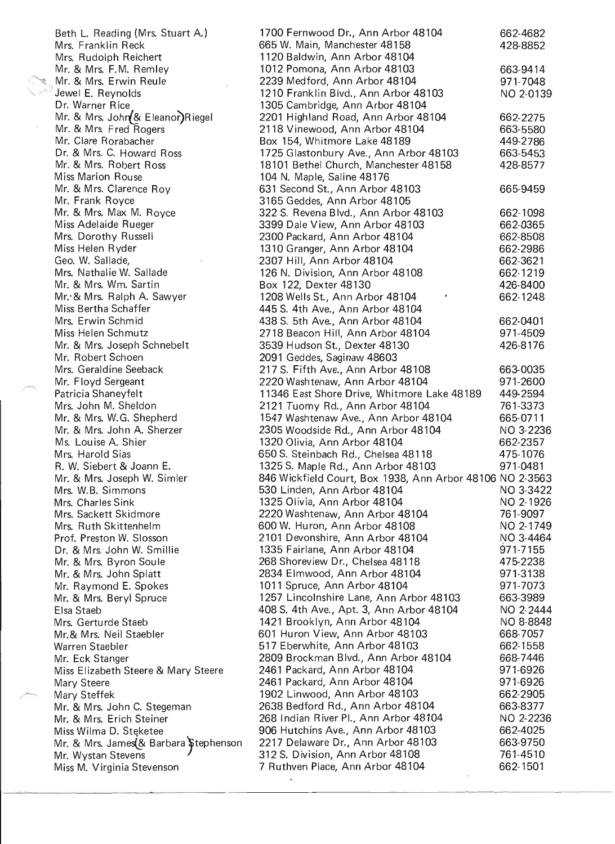Beth L. Reading (Mrs. Stuart A.) Mrs. Franklin Reck Mrs. Rudolph Reichert Mr. & Mrs. F.M. Remley Mr. & Mrs. Erwin Reule Jewel E. Reynolds Dr. Warner Rice Mr. & Mrs. John (& Eleanor) Riegel Mr. & Mrs. Fred Rogers Mr. Clare Rorabacher Dr. & Mrs. C. Howard Ross Mr. & Mrs. Robert Ross Miss Marion Rouse Mr. & Mrs. Clarence Roy Mr. Frank Royce Mr. & Mrs. Max M. Royce Miss Adelaide Rueger Mrs. Dorothy Russell Miss Helen Ryder Geo. W. Sallade, Mrs. Nathalie W. Sallade Mr. & Mrs. Wm. Sartin Mr. & Mrs. Ralph A. Sawyer Miss Bertha Schaffer Mrs. Erwin Schmid Miss Helen Schmutz Mr. & Mrs. Joseph Schnebelt Mr. Robert Schoen Mrs. Geraldine Seeback Mr. Floyd Sergeant Patricia Shaneyfelt Mrs. John M. Sheldon Mr. & Mrs. W.G. Shepherd Mr. & Mrs. John A. Sherzer Ms. Louise A. Shier Mrs. Harold Sias R. W. Siebert & Joann E. Mr. & Mrs. Joseph W. Simler Mrs. W.B. Simmons Mrs. Charles Sink Mrs. Sackett Skidmore Mrs. Ruth Skittenhelm Prof. Preston W. Siosson Dr. & Mrs. John W. Smillie Mr. & Mrs. Byron Soule Mr. & Mrs. John Splatt Mr. Raymond E. Spokes Mr. & Mrs. Beryl Spruce Elsa Staeb Mrs. Gerturde Staeb Mr.& Mrs. Neil Staebler Warren Staebler, Mr. Eck Stanger Miss Elizabeth Steere & Mary Steere Mary Steere Mary Steffek Mr. & Mrs. John C. Stegeman Mr. & Mrs. Erich Steiner Miss Wilma D. Steketee Mr. & Mrs. James & Barbara Stephenson Mr. Wystan Stevens Miss M. Virginia Stevenson

| 1700 Fernwood Dr., Ann Arbor 48104                       | 662-4682  |
|----------------------------------------------------------|-----------|
| 665 W. Main, Manchester 48158                            | 428-8852  |
| 1120 Baldwin, Ann Arbor 48104                            |           |
| 1012 Pomona, Ann Arbor 48103                             | 663-9414  |
| 2239 Medford, Ann Arbor 48104                            | 971-7048  |
| 1210 Franklin Blvd., Ann Arbor 48103                     | NO 2-0139 |
| 1305 Cambridge, Ann Arbor 48104                          |           |
| 2201 Highland Road, Ann Arbor 48104                      | 662-2275  |
| 2118 Vinewood, Ann Arbor 48104                           | 663-5580  |
| Box 154, Whitmore Lake 48189                             | 449-2786  |
| 1725 Glastonbury Ave., Ann Arbor 48103                   | 663-5453  |
| 18101 Bethel Church, Manchester 48158                    | 428-8577  |
| 104 N. Maple, Saline 48176                               |           |
| 631 Second St., Ann Arbor 48103                          | 665-9459  |
| 3165 Geddes, Ann Arbor 48105                             |           |
| 322 S. Revena Blvd., Ann Arbor 48103                     | 662-1098  |
| 3399 Dale View, Ann Arbor 48103                          | 662-0365  |
| 2300 Packard, Ann Arbor 48104                            | 662-8508  |
| 1310 Granger, Ann Arbor 48104                            | 662-2986  |
| 2307 Hill, Ann Arbor 48104                               | 662-3621  |
| 126 N. Division, Ann Arbor 48108                         | 662-1219  |
| Box 122, Dexter 48130                                    | 426-8400  |
| 1208 Wells St., Ann Arbor 48104                          | 662-1248  |
| 445 S. 4th Ave., Ann Arbor 48104                         |           |
| 438 S. 5th Ave., Ann Arbor 48104                         | 662-0401  |
| 2718 Beacon Hill, Ann Arbor 48104                        | 971-4509  |
| 3539 Hudson St., Dexter 48130                            | 426-8176  |
| 2091 Geddes, Saginaw 48603                               |           |
|                                                          |           |
| 217 S. Fifth Ave., Ann Arbor 48108                       | 663-0035  |
| 2220 Washtenaw, Ann Arbor 48104                          | 971-2600  |
| 11346 East Shore Drive, Whitmore Lake 48189              | 449-2594  |
| 2121 Tuomy Rd., Ann Arbor 48104                          | 761-3373  |
| 1547 Washtenaw Ave., Ann Arbor 48104                     | 665-0711  |
| 2305 Woodside Rd., Ann Arbor 48104                       | NO 3-2236 |
| 1320 Olivia, Ann Arbor 48104                             | 662-2357  |
| 650 S. Steinbach Rd., Chelsea 48118                      | 475-1076  |
| 1325 S. Maple Rd., Ann Arbor 48103                       | 971-0481  |
| 846 Wickfield Court, Box 1938, Ann Arbor 48106 NO 2-3563 |           |
| 530 Linden, Ann Arbor 48104                              | NO 3-3422 |
| 1325 Olivia, Ann Arbor 48104                             | NO 2-1926 |
| 2220 Washtenaw, Ann Arbor 48104                          | 761-9097  |
| 600 W. Huron, Ann Arbor 48108                            | NO 2-1749 |
| 2101 Devonshire, Ann Arbor 48104                         | NO 3-4464 |
| 1335 Fairlane, Ann Arbor 48104                           | 971-7155  |
| 268 Shoreview Dr., Chelsea 48118                         | 475-2238  |
| 2834 Elmwood, Ann Arbor 48104                            | 971-3138  |
| 1011 Spruce, Ann Arbor 48104                             | 971-7073  |
| 1257 Lincolnshire Lane, Ann Arbor 48103                  | 663-3989  |
| 408 S. 4th Ave., Apt. 3, Ann Arbor 48104                 | NO 2-2444 |
| 1421 Brooklyn, Ann Arbor 48104                           | NO 8-8848 |
| 601 Huron View, Ann Arbor 48103                          | 668-7057  |
| 517 Eberwhite, Ann Arbor 48103                           | 662-1558  |
| 2809 Brockman Blvd., Ann Arbor 48104                     | 668-7446  |
| 2461 Packard, Ann Arbor 48104                            | 971-6926  |
| 2461 Packard, Ann Arbor 48104                            | 971-6926  |
| 1902 Linwood, Ann Arbor 48103                            | 662-2905  |
| 2638 Bedford Rd., Ann Arbor 48104                        | 663-8377  |
| 268 Indian River Pl., Ann Arbor 48104                    | NO 2-2236 |
| 906 Hutchins Ave., Ann Arbor 48103                       | 662-4025  |
| 2217 Delaware Dr., Ann Arbor 48103                       | 663-9750  |
| 312 S. Division, Ann Arbor 48108                         | 761-4510  |
| 7 Ruthven Place, Ann Arbor 48104                         | 662-1501  |
|                                                          |           |